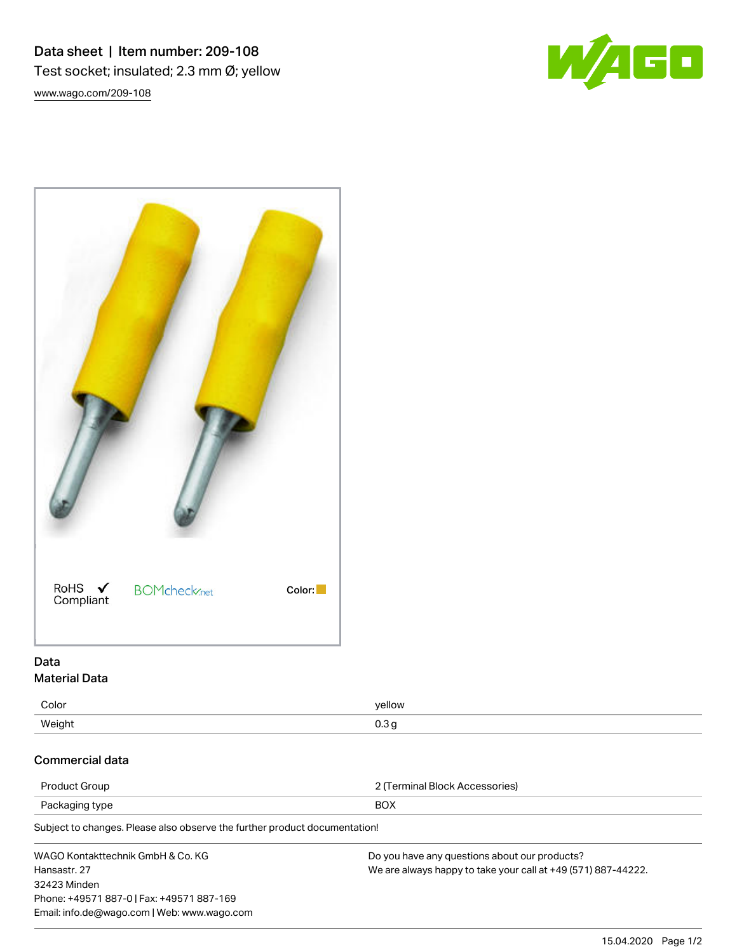Data sheet | Item number: 209-108 Test socket; insulated; 2.3 mm Ø; yellow [www.wago.com/209-108](http://www.wago.com/209-108)



15.04.2020 Page 1/2

| RoHS ✔<br>Compliant | <b>BOMcheck</b> <sub>net</sub> | Color: |
|---------------------|--------------------------------|--------|

# Data Material Data

| Color  | yellow      |
|--------|-------------|
| Weight | റാ<br>י ט.ט |

## Commercial data

| <b>Product Group</b>                                                       | 2 (Terminal Block Accessories)                                |  |  |
|----------------------------------------------------------------------------|---------------------------------------------------------------|--|--|
| Packaging type                                                             | <b>BOX</b>                                                    |  |  |
| Subject to changes. Please also observe the further product documentation! |                                                               |  |  |
| WAGO Kontakttechnik GmbH & Co. KG                                          | Do you have any questions about our products?                 |  |  |
| Hansastr, 27<br>32423 Minden                                               | We are always happy to take your call at +49 (571) 887-44222. |  |  |

Phone: +49571 887-0 | Fax: +49571 887-169 Email: info.de@wago.com | Web: www.wago.com